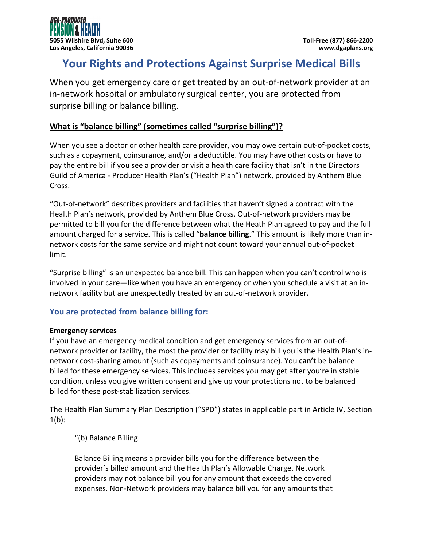# **Your Rights and Protections Against Surprise Medical Bills**

When you get emergency care or get treated by an out‐of‐network provider at an in‐network hospital or ambulatory surgical center, you are protected from surprise billing or balance billing.

## **What is "balance billing" (sometimes called "surprise billing")?**

When you see a doctor or other health care provider, you may owe certain out-of-pocket costs, such as a copayment, coinsurance, and/or a deductible. You may have other costs or have to pay the entire bill if you see a provider or visit a health care facility that isn't in the Directors Guild of America ‐ Producer Health Plan's ("Health Plan") network, provided by Anthem Blue Cross.

"Out‐of‐network" describes providers and facilities that haven't signed a contract with the Health Plan's network, provided by Anthem Blue Cross. Out‐of‐network providers may be permitted to bill you for the difference between what the Heath Plan agreed to pay and the full amount charged for a service. This is called "**balance billing**." This amount is likely more than in‐ network costs for the same service and might not count toward your annual out‐of‐pocket limit.

"Surprise billing" is an unexpected balance bill. This can happen when you can't control who is involved in your care—like when you have an emergency or when you schedule a visit at an in‐ network facility but are unexpectedly treated by an out‐of‐network provider.

### **You are protected from balance billing for:**

#### **Emergency services**

If you have an emergency medical condition and get emergency services from an out‐of‐ network provider or facility, the most the provider or facility may bill you is the Health Plan's in‐ network cost‐sharing amount (such as copayments and coinsurance). You **can't** be balance billed for these emergency services. This includes services you may get after you're in stable condition, unless you give written consent and give up your protections not to be balanced billed for these post‐stabilization services.

The Health Plan Summary Plan Description ("SPD") states in applicable part in Article IV, Section  $1(b)$ :

"(b) Balance Billing

Balance Billing means a provider bills you for the difference between the provider's billed amount and the Health Plan's Allowable Charge. Network providers may not balance bill you for any amount that exceeds the covered expenses. Non‐Network providers may balance bill you for any amounts that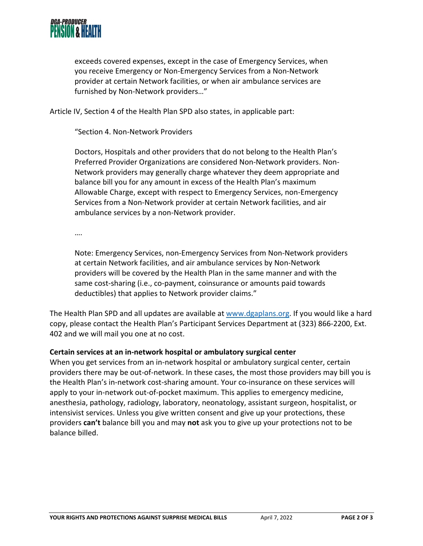

exceeds covered expenses, except in the case of Emergency Services, when you receive Emergency or Non‐Emergency Services from a Non‐Network provider at certain Network facilities, or when air ambulance services are furnished by Non‐Network providers…"

Article IV, Section 4 of the Health Plan SPD also states, in applicable part:

"Section 4. Non‐Network Providers

Doctors, Hospitals and other providers that do not belong to the Health Plan's Preferred Provider Organizations are considered Non‐Network providers. Non‐ Network providers may generally charge whatever they deem appropriate and balance bill you for any amount in excess of the Health Plan's maximum Allowable Charge, except with respect to Emergency Services, non‐Emergency Services from a Non‐Network provider at certain Network facilities, and air ambulance services by a non‐Network provider.

….

Note: Emergency Services, non‐Emergency Services from Non‐Network providers at certain Network facilities, and air ambulance services by Non‐Network providers will be covered by the Health Plan in the same manner and with the same cost-sharing (i.e., co-payment, coinsurance or amounts paid towards deductibles) that applies to Network provider claims."

The Health Plan SPD and all updates are available at www.dgaplans.org. If you would like a hard copy, please contact the Health Plan's Participant Services Department at (323) 866‐2200, Ext. 402 and we will mail you one at no cost.

#### **Certain services at an in‐network hospital or ambulatory surgical center**

When you get services from an in-network hospital or ambulatory surgical center, certain providers there may be out‐of‐network. In these cases, the most those providers may bill you is the Health Plan's in-network cost-sharing amount. Your co-insurance on these services will apply to your in‐network out‐of‐pocket maximum. This applies to emergency medicine, anesthesia, pathology, radiology, laboratory, neonatology, assistant surgeon, hospitalist, or intensivist services. Unless you give written consent and give up your protections, these providers **can't** balance bill you and may **not** ask you to give up your protections not to be balance billed.